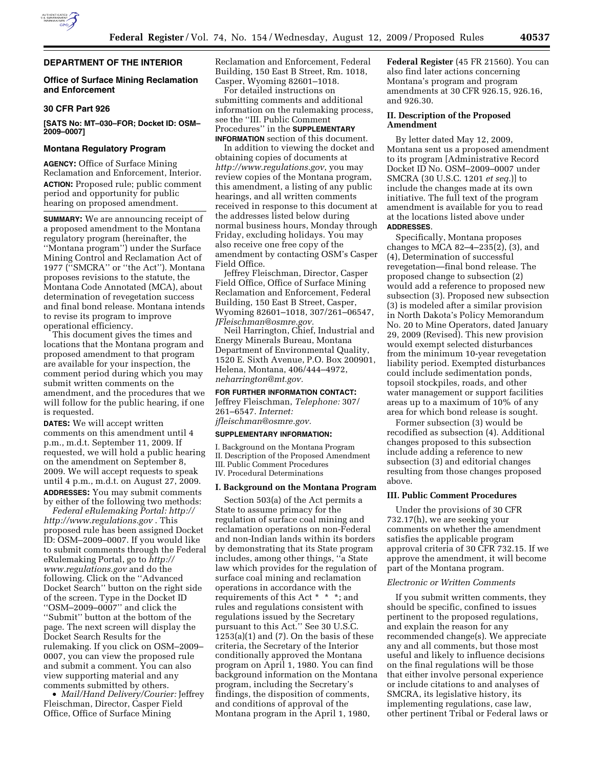

## **DEPARTMENT OF THE INTERIOR**

## **Office of Surface Mining Reclamation and Enforcement**

### **30 CFR Part 926**

**[SATS No: MT–030–FOR; Docket ID: OSM– 2009–0007]** 

### **Montana Regulatory Program**

**AGENCY:** Office of Surface Mining Reclamation and Enforcement, Interior. **ACTION:** Proposed rule; public comment period and opportunity for public hearing on proposed amendment.

**SUMMARY:** We are announcing receipt of a proposed amendment to the Montana regulatory program (hereinafter, the ''Montana program'') under the Surface Mining Control and Reclamation Act of 1977 (''SMCRA'' or ''the Act''). Montana proposes revisions to the statute, the Montana Code Annotated (MCA), about determination of revegetation success and final bond release. Montana intends to revise its program to improve operational efficiency.

This document gives the times and locations that the Montana program and proposed amendment to that program are available for your inspection, the comment period during which you may submit written comments on the amendment, and the procedures that we will follow for the public hearing, if one is requested.

**DATES:** We will accept written comments on this amendment until 4 p.m., m.d.t. September 11, 2009. If requested, we will hold a public hearing on the amendment on September 8, 2009. We will accept requests to speak until 4 p.m., m.d.t. on August 27, 2009. **ADDRESSES:** You may submit comments by either of the following two methods:

*Federal eRulemaking Portal: http:// http://www.regulations.gov* . This proposed rule has been assigned Docket ID: OSM–2009–0007. If you would like to submit comments through the Federal eRulemaking Portal, go to *http:// www.regulations.gov* and do the following. Click on the ''Advanced Docket Search'' button on the right side of the screen. Type in the Docket ID ''OSM–2009–0007'' and click the ''Submit'' button at the bottom of the page. The next screen will display the Docket Search Results for the rulemaking. If you click on OSM–2009– 0007, you can view the proposed rule and submit a comment. You can also view supporting material and any comments submitted by others.

• *Mail/Hand Delivery/Courier:* Jeffrey Fleischman, Director, Casper Field Office, Office of Surface Mining

Reclamation and Enforcement, Federal Building, 150 East B Street, Rm. 1018, Casper, Wyoming 82601–1018.

For detailed instructions on submitting comments and additional information on the rulemaking process, see the ''III. Public Comment Procedures'' in the **SUPPLEMENTARY INFORMATION** section of this document.

In addition to viewing the docket and obtaining copies of documents at *http://www.regulations.gov*, you may review copies of the Montana program, this amendment, a listing of any public hearings, and all written comments received in response to this document at the addresses listed below during normal business hours, Monday through Friday, excluding holidays. You may also receive one free copy of the amendment by contacting OSM's Casper Field Office.

Jeffrey Fleischman, Director, Casper Field Office, Office of Surface Mining Reclamation and Enforcement, Federal Building, 150 East B Street, Casper, Wyoming 82601–1018, 307/261–06547, *JFleischman@osmre.gov.* 

Neil Harrington, Chief, Industrial and Energy Minerals Bureau, Montana Department of Environmental Quality, 1520 E. Sixth Avenue, P.O. Box 200901, Helena, Montana, 406/444–4972, *neharrington@mt.gov.* 

#### **FOR FURTHER INFORMATION CONTACT:**

Jeffrey Fleischman, *Telephone:* 307/ 261–6547. *Internet: jfleischman@osmre.gov.* 

#### **SUPPLEMENTARY INFORMATION:**

I. Background on the Montana Program II. Description of the Proposed Amendment III. Public Comment Procedures IV. Procedural Determinations

#### **I. Background on the Montana Program**

Section 503(a) of the Act permits a State to assume primacy for the regulation of surface coal mining and reclamation operations on non-Federal and non-Indian lands within its borders by demonstrating that its State program includes, among other things, ''a State law which provides for the regulation of surface coal mining and reclamation operations in accordance with the requirements of this Act \* \* \*; and rules and regulations consistent with regulations issued by the Secretary pursuant to this Act.'' See 30 U.S.C. 1253(a)(1) and (7). On the basis of these criteria, the Secretary of the Interior conditionally approved the Montana program on April 1, 1980. You can find background information on the Montana program, including the Secretary's findings, the disposition of comments, and conditions of approval of the Montana program in the April 1, 1980,

**Federal Register** (45 FR 21560). You can also find later actions concerning Montana's program and program amendments at 30 CFR 926.15, 926.16, and 926.30.

## **II. Description of the Proposed Amendment**

By letter dated May 12, 2009, Montana sent us a proposed amendment to its program [Administrative Record Docket ID No. OSM–2009–0007 under SMCRA (30 U.S.C. 1201 *et seq.*)] to include the changes made at its own initiative. The full text of the program amendment is available for you to read at the locations listed above under **ADDRESSES**.

Specifically, Montana proposes changes to MCA 82–4–235(2), (3), and (4), Determination of successful revegetation—final bond release. The proposed change to subsection (2) would add a reference to proposed new subsection (3). Proposed new subsection (3) is modeled after a similar provision in North Dakota's Policy Memorandum No. 20 to Mine Operators, dated January 29, 2009 (Revised). This new provision would exempt selected disturbances from the minimum 10-year revegetation liability period. Exempted disturbances could include sedimentation ponds, topsoil stockpiles, roads, and other water management or support facilities areas up to a maximum of 10% of any area for which bond release is sought.

Former subsection (3) would be recodified as subsection (4). Additional changes proposed to this subsection include adding a reference to new subsection (3) and editorial changes resulting from those changes proposed above.

## **III. Public Comment Procedures**

Under the provisions of 30 CFR 732.17(h), we are seeking your comments on whether the amendment satisfies the applicable program approval criteria of 30 CFR 732.15. If we approve the amendment, it will become part of the Montana program.

#### *Electronic or Written Comments*

If you submit written comments, they should be specific, confined to issues pertinent to the proposed regulations, and explain the reason for any recommended change(s). We appreciate any and all comments, but those most useful and likely to influence decisions on the final regulations will be those that either involve personal experience or include citations to and analyses of SMCRA, its legislative history, its implementing regulations, case law, other pertinent Tribal or Federal laws or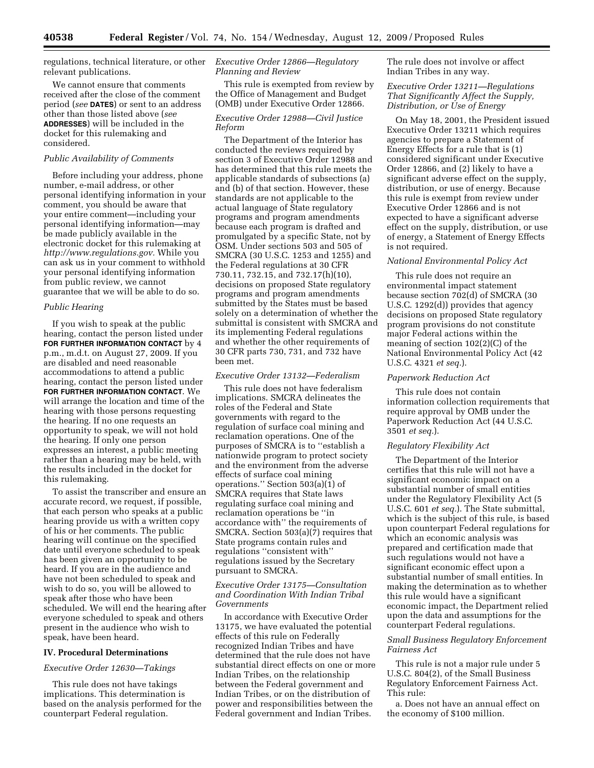regulations, technical literature, or other relevant publications.

We cannot ensure that comments received after the close of the comment period (*see* **DATES**) or sent to an address other than those listed above (*see*  **ADDRESSES**) will be included in the docket for this rulemaking and considered.

# *Public Availability of Comments*

Before including your address, phone number, e-mail address, or other personal identifying information in your comment, you should be aware that your entire comment—including your personal identifying information—may be made publicly available in the electronic docket for this rulemaking at *http://www.regulations.gov.* While you can ask us in your comment to withhold your personal identifying information from public review, we cannot guarantee that we will be able to do so.

### *Public Hearing*

If you wish to speak at the public hearing, contact the person listed under **FOR FURTHER INFORMATION CONTACT** by 4 p.m., m.d.t. on August 27, 2009. If you are disabled and need reasonable accommodations to attend a public hearing, contact the person listed under **FOR FURTHER INFORMATION CONTACT**. We will arrange the location and time of the hearing with those persons requesting the hearing. If no one requests an opportunity to speak, we will not hold the hearing. If only one person expresses an interest, a public meeting rather than a hearing may be held, with the results included in the docket for this rulemaking.

To assist the transcriber and ensure an accurate record, we request, if possible, that each person who speaks at a public hearing provide us with a written copy of his or her comments. The public hearing will continue on the specified date until everyone scheduled to speak has been given an opportunity to be heard. If you are in the audience and have not been scheduled to speak and wish to do so, you will be allowed to speak after those who have been scheduled. We will end the hearing after everyone scheduled to speak and others present in the audience who wish to speak, have been heard.

#### **IV. Procedural Determinations**

#### *Executive Order 12630—Takings*

This rule does not have takings implications. This determination is based on the analysis performed for the counterpart Federal regulation.

# *Executive Order 12866—Regulatory Planning and Review*

This rule is exempted from review by the Office of Management and Budget (OMB) under Executive Order 12866.

### *Executive Order 12988—Civil Justice Reform*

The Department of the Interior has conducted the reviews required by section 3 of Executive Order 12988 and has determined that this rule meets the applicable standards of subsections (a) and (b) of that section. However, these standards are not applicable to the actual language of State regulatory programs and program amendments because each program is drafted and promulgated by a specific State, not by OSM. Under sections 503 and 505 of SMCRA (30 U.S.C. 1253 and 1255) and the Federal regulations at 30 CFR 730.11, 732.15, and 732.17(h)(10), decisions on proposed State regulatory programs and program amendments submitted by the States must be based solely on a determination of whether the submittal is consistent with SMCRA and its implementing Federal regulations and whether the other requirements of 30 CFR parts 730, 731, and 732 have been met.

#### *Executive Order 13132—Federalism*

This rule does not have federalism implications. SMCRA delineates the roles of the Federal and State governments with regard to the regulation of surface coal mining and reclamation operations. One of the purposes of SMCRA is to ''establish a nationwide program to protect society and the environment from the adverse effects of surface coal mining operations.'' Section 503(a)(1) of SMCRA requires that State laws regulating surface coal mining and reclamation operations be ''in accordance with'' the requirements of SMCRA. Section 503(a)(7) requires that State programs contain rules and regulations ''consistent with'' regulations issued by the Secretary pursuant to SMCRA.

### *Executive Order 13175—Consultation and Coordination With Indian Tribal Governments*

In accordance with Executive Order 13175, we have evaluated the potential effects of this rule on Federally recognized Indian Tribes and have determined that the rule does not have substantial direct effects on one or more Indian Tribes, on the relationship between the Federal government and Indian Tribes, or on the distribution of power and responsibilities between the Federal government and Indian Tribes.

The rule does not involve or affect Indian Tribes in any way.

### *Executive Order 13211—Regulations That Significantly Affect the Supply, Distribution, or Use of Energy*

On May 18, 2001, the President issued Executive Order 13211 which requires agencies to prepare a Statement of Energy Effects for a rule that is (1) considered significant under Executive Order 12866, and (2) likely to have a significant adverse effect on the supply, distribution, or use of energy. Because this rule is exempt from review under Executive Order 12866 and is not expected to have a significant adverse effect on the supply, distribution, or use of energy, a Statement of Energy Effects is not required.

### *National Environmental Policy Act*

This rule does not require an environmental impact statement because section 702(d) of SMCRA (30 U.S.C. 1292(d)) provides that agency decisions on proposed State regulatory program provisions do not constitute major Federal actions within the meaning of section 102(2)(C) of the National Environmental Policy Act (42 U.S.C. 4321 *et seq.*).

### *Paperwork Reduction Act*

This rule does not contain information collection requirements that require approval by OMB under the Paperwork Reduction Act (44 U.S.C. 3501 *et seq.*).

### *Regulatory Flexibility Act*

The Department of the Interior certifies that this rule will not have a significant economic impact on a substantial number of small entities under the Regulatory Flexibility Act (5 U.S.C. 601 *et seq.*). The State submittal, which is the subject of this rule, is based upon counterpart Federal regulations for which an economic analysis was prepared and certification made that such regulations would not have a significant economic effect upon a substantial number of small entities. In making the determination as to whether this rule would have a significant economic impact, the Department relied upon the data and assumptions for the counterpart Federal regulations.

### *Small Business Regulatory Enforcement Fairness Act*

This rule is not a major rule under 5 U.S.C. 804(2), of the Small Business Regulatory Enforcement Fairness Act. This rule:

a. Does not have an annual effect on the economy of \$100 million.